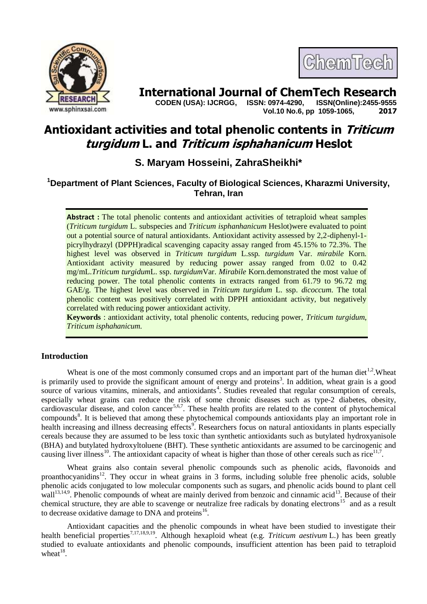



# **International Journal of ChemTech Research**

 **CODEN (USA): IJCRGG, ISSN: 0974-4290, ISSN(Online):2455-9555 Vol.10 No.6, pp 1059-1065, 2017**

# **Antioxidant activities and total phenolic contents in Triticum turgidum L. and Triticum isphahanicum Heslot**

# **S. Maryam Hosseini, ZahraSheikhi\***

## **<sup>1</sup>Department of Plant Sciences, Faculty of Biological Sciences, Kharazmi University, Tehran, Iran**

**Abstract :** The total phenolic contents and antioxidant activities of tetraploid wheat samples (*Triticum turgidum* L. subspecies and *Triticum isphanhanicum* Heslot)were evaluated to point out a potential source of natural antioxidants. Antioxidant activity assessed by 2,2-diphenyl-1 picrylhydrazyl (DPPH)radical scavenging capacity assay ranged from 45.15% to 72.3%. The highest level was observed in *Triticum turgidum* L.ssp. *turgidum* Var. *mirabile* Korn. Antioxidant activity measured by reducing power assay ranged from 0.02 to 0.42 mg/mL.*Triticum turgidum*L. ssp. *turgidum*Var. *Mirabile* Korn.demonstrated the most value of reducing power. The total phenolic contents in extracts ranged from 61.79 to 96.72 mg GAE/g. The highest level was observed in *Triticum turgidum* L. ssp. *dicoccum*. The total phenolic content was positively correlated with DPPH antioxidant activity, but negatively correlated with reducing power antioxidant activity.

**Keywords** : antioxidant activity, total phenolic contents, reducing power, *Triticum turgidum*, *Triticum isphahanicum.*

## **Introduction**

Wheat is one of the most commonly consumed crops and an important part of the human diet<sup>1,2</sup>. Wheat is primarily used to provide the significant amount of energy and proteins<sup>3</sup>. In addition, wheat grain is a good source of various vitamins, minerals, and antioxidants<sup>4</sup>. Studies revealed that regular consumption of cereals, especially wheat grains can reduce the risk of some chronic diseases such as type-2 diabetes, obesity, cardiovascular disease, and colon cancer<sup>5,6,7</sup>. These health profits are related to the content of phytochemical compounds<sup>8</sup>. It is believed that among these phytochemical compounds antioxidants play an important role in health increasing and illness decreasing effects<sup>9</sup>. Researchers focus on natural antioxidants in plants especially cereals because they are assumed to be less toxic than synthetic antioxidants such as butylated hydroxyanisole (BHA) and butylated hydroxyltoluene (BHT). These synthetic antioxidants are assumed to be carcinogenic and causing liver illness<sup>10</sup>. The antioxidant capacity of wheat is higher than those of other cereals such as rice<sup>11,7</sup>.

Wheat grains also contain several phenolic compounds such as phenolic acids, flavonoids and proanthocyanidins<sup>12</sup>. They occur in wheat grains in 3 forms, including soluble free phenolic acids, soluble phenolic acids conjugated to low molecular components such as sugars, and phenolic acids bound to plant cell wall<sup>13,14,9</sup>. Phenolic compounds of wheat are mainly derived from benzoic and cinnamic acid<sup>13</sup>. Because of their chemical structure, they are able to scavenge or neutralize free radicals by donating electrons<sup>15</sup> and as a result to decrease oxidative damage to DNA and proteins<sup>16</sup>.

Antioxidant capacities and the phenolic compounds in wheat have been studied to investigate their health beneficial properties<sup>7,17,18,9,19</sup>. Although hexaploid wheat (e.g. *Triticum [aestivum](https://en.wikipedia.org/wiki/Triticum_aestivum)* [L.\)](https://en.wikipedia.org/wiki/Carl_Linnaeus) has been greatly studied to evaluate antioxidants and phenolic compounds, insufficient attention has been paid to tetraploid wheat $18$ .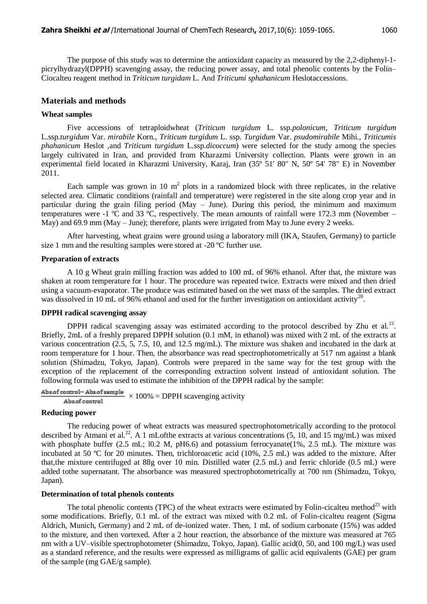The purpose of this study was to determine the antioxidant capacity as measured by the 2,2-diphenyl-1 picrylhydrazyl(DPPH) scavenging assay, the reducing power assay, and total phenolic contents by the Folin– Ciocalteu reagent method in *Triticum turgidam* L. And *Triticumi sphahanicum* Heslotaccessions.

#### **Materials and methods**

#### **Wheat samples**

Five accessions of tetraploidwheat (*Triticum turgidum* L. ssp.*polonicum, Triticum turgidum* L.ssp*.turgidum* Var. *mirabile* Korn., *Triticum turgidum* L. ssp. *Turgidum* Var. *psudomirabile* Mihi., *Triticumis phahanicum* Heslot *,*and *Triticum turgidum* L.ssp.*dicoccum*) were selected for the study among the species largely cultivated in Iran, and provided from Kharazmi University collection. Plants were grown in an experimental field located in Kharazmi University, Karaj, Iran (35º 51' 80" N, 50º 54' 78" E) in November 2011.

Each sample was grown in 10  $m^2$  plots in a randomized block with three replicates, in the relative selected area. Climatic conditions (rainfall and temperature) were registered in the site along crop year and in particular during the grain filing period (May – June). During this period, the minimum and maximum temperatures were -1  $\degree$ C and 33  $\degree$ C, respectively. The mean amounts of rainfall were 172.3 mm (November – May) and 69.9 mm (May – June); therefore, plants were irrigated from May to June every 2 weeks.

After harvesting, wheat grains were ground using a laboratory mill (IKA, Staufen, Germany) to particle size 1 mm and the resulting samples were stored at -20 ºC further use.

#### **Preparation of extracts**

A 10 g Wheat grain milling fraction was added to 100 mL of 96% ethanol. After that, the mixture was shaken at room temperature for 1 hour. The procedure was repeated twice. Extracts were mixed and then dried using a vacuum-evaporator. The produce was estimated based on the wet mass of the samples. The dried extract was dissolved in 10 mL of 96% ethanol and used for the further investigation on antioxidant activity<sup>20</sup>.

#### **DPPH radical scavenging assay**

DPPH radical scavenging assay was estimated according to the protocol described by Zhu et al.<sup>21</sup>. Briefly, 2mL of a freshly prepared DPPH solution (0.1 mM, in ethanol) was mixed with 2 mL of the extracts at various concentration (2.5, 5, 7.5, 10, and 12.5 mg/mL). The mixture was shaken and incubated in the dark at room temperature for 1 hour. Then, the absorbance was read spectrophotometrically at 517 nm against a blank solution (Shimadzu, Tokyo, Japan). Controls were prepared in the same way for the test group with the exception of the replacement of the corresponding extraction solvent instead of antioxidant solution. The following formula was used to estimate the inhibition of the DPPH radical by the sample:

# Abs.of control-Abs.of sample  $\times 100\%$  = DPPH scavenging activity

#### **Reducing power**

The reducing power of wheat extracts was measured spectrophotometrically according to the protocol described by Atmani et al.<sup>22</sup>. A 1 mLofthe extracts at various concentrations (5, 10, and 15 mg/mL) was mixed with phosphate buffer (2.5 mL; l0.2 M, pH6.6) and potassium ferrocyanate(1%, 2.5 mL). The mixture was incubated at 50 ºC for 20 minutes. Then, trichloroacetic acid (10%, 2.5 mL) was added to the mixture. After that,the mixture centrifuged at 88g over 10 min. Distilled water (2.5 mL) and ferric chloride (0.5 mL) were added tothe supernatant. The absorbance was measured spectrophotometrically at 700 nm (Shimadzu, Tokyo, Japan).

#### **Determination of total phenols contents**

The total phenolic contents (TPC) of the wheat extracts were estimated by Folin-cicalteu method<sup>23</sup> with some modifications. Briefly, 0.1 mL of the extract was mixed with 0.2 mL of Folin-cicalteu reagent (Sigma Aldrich, Munich, Germany) and 2 mL of de-ionized water. Then, 1 mL of sodium carbonate (15%) was added to the mixture, and then vortexed. After a 2 hour reaction, the absorbance of the mixture was measured at 765 nm with a UV–visible spectrophotometer (Shimadzu, Tokyo, Japan). Gallic acid(0, 50, and 100 mg/L) was used as a standard reference, and the results were expressed as milligrams of gallic acid equivalents (GAE) per gram of the sample (mg GAE/g sample).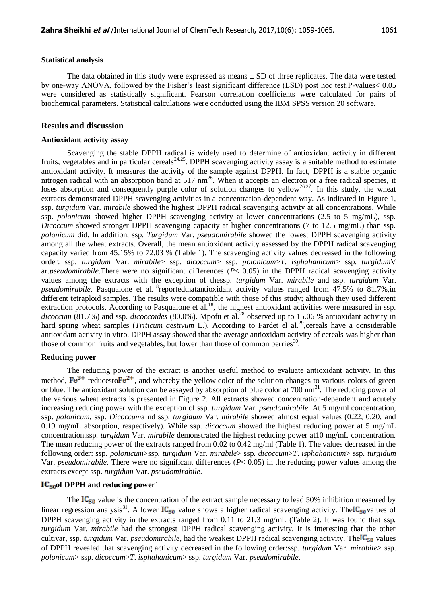#### **Statistical analysis**

The data obtained in this study were expressed as means  $\pm$  SD of three replicates. The data were tested by one-way ANOVA, followed by the Fisher's least significant difference (LSD) post hoc test.P-values< 0.05 were considered as statistically significant. Pearson correlation coefficients were calculated for pairs of biochemical parameters. Statistical calculations were conducted using the IBM SPSS version 20 software.

#### **Results and discussion**

#### **Antioxidant activity assay**

Scavenging the stable DPPH radical is widely used to determine of antioxidant activity in different fruits, vegetables and in particular cereals<sup>24,25</sup>. DPPH scavenging activity assay is a suitable method to estimate antioxidant activity. It measures the activity of the sample against DPPH. In fact, DPPH is a stable organic nitrogen radical with an absorption band at 517  $nm^{26}$ . When it accepts an electron or a free radical species, it loses absorption and consequently purple color of solution changes to yellow<sup>26,27</sup>. In this study, the wheat extracts demonstrated DPPH scavenging activities in a concentration-dependent way. As indicated in Figure 1, ssp. *turgidum* Var. *mirabile* showed the highest DPPH radical scavenging activity at all concentrations. While ssp. *polonicum* showed higher DPPH scavenging activity at lower concentrations (2.5 to 5 mg/mL), ssp. *Dicoccum* showed stronger DPPH scavenging capacity at higher concentrations (7 to 12.5 mg/mL) than ssp. *polonicum* did. In addition, ssp. *Turgidum* Var. *pseudomirabile* showed the lowest DPPH scavenging activity among all the wheat extracts. Overall, the mean antioxidant activity assessed by the DPPH radical scavenging capacity varied from 45.15% to 72.03 % (Table 1). The scavenging activity values decreased in the following order: ssp. *turgidum* Var. *mirabile*> ssp. *dicoccum*> ssp. *polonicum*>*T*. *isphahanicum*> ssp. *turgidum*V ar.*pseudomirabile*.There were no significant differences (*P*< 0.05) in the DPPH radical scavenging activity values among the extracts with the exception of thessp. *turgidum* Var. *mirabile* and ssp. *turgidum* Var. *pseudomirabile*. Pasqualone et al.<sup>18</sup>reportedthatantioxidant activity values ranged from 47.5% to 81.7%, in different tetraploid samples. The results were compatible with those of this study; although they used different extraction protocols. According to Pasqualone et al.<sup>18</sup>, the highest antioxidant activities were measured in ssp. *dicoccum* (81.7%) and ssp. *dicoccoides* (80.0%). Mpofu et al.<sup>28</sup> observed up to 15.06 % antioxidant activity in hard spring wheat samples (*Triticum aestivum* L.). According to Fardet el al.<sup>29</sup>, cereals have a considerable antioxidant activity in vitro. DPPH assay showed that the average antioxidant activity of cereals was higher than those of common fruits and vegetables, but lower than those of common berries $^{30}$ .

#### **Reducing power**

The reducing power of the extract is another useful method to evaluate antioxidant activity. In this method,  $Fe^{3+}$  reducesto  $Fe^{2+}$ , and whereby the yellow color of the solution changes to various colors of green or blue. The antioxidant solution can be assayed by absorption of blue color at 700 nm<sup>31</sup>. The reducing power of the various wheat extracts is presented in Figure 2. All extracts showed concentration-dependent and acutely increasing reducing power with the exception of ssp. *turgidum* Var. *pseudomirabile*. At 5 mg/ml concentration, ssp. *polonicum*, ssp. *Dicoccum*a nd ssp*. turgidum* Var. *mirabile* showed almost equal values (0.22, 0.20, and 0.19 mg/mL absorption, respectively). While ssp. *dicoccum* showed the highest reducing power at 5 mg/mL concentration,ssp*. turgidum* Var. *mirabile* demonstrated the highest reducing power at10 mg/mL concentration. The mean reducing power of the extracts ranged from 0.02 to 0.42 mg/ml (Table 1). The values decreased in the following order: ssp. *polonicum*>ssp*. turgidum* Var. *mirabile*> ssp. *dicoccum*>*T*. *isphahanicum*> ssp. *turgidum* Var. *pseudomirabile*. There were no significant differences (*P*< 0.05) in the reducing power values among the extracts except ssp. *turgidum* Var. *pseudomirabile*.

#### **of DPPH and reducing power`**

The  $IC_{50}$  value is the concentration of the extract sample necessary to lead 50% inhibition measured by linear regression analysis<sup>31</sup>. A lower  $IC_{50}$  value shows a higher radical scavenging activity. The  $IC_{50}$  values of DPPH scavenging activity in the extracts ranged from 0.11 to 21.3 mg/mL (Table 2). It was found that ssp*. turgidum* Var. *mirabile* had the strongest DPPH radical scavenging activity. It is interesting that the other cultivar, ssp. *turgidum* Var. *pseudomirabile*, had the weakest DPPH radical scavenging activity. The  $C_{50}$  values of DPPH revealed that scavenging activity decreased in the following order:ssp*. turgidum* Var. *mirabile*> ssp. *polonicum*> ssp. *dicoccum*>*T*. *isphahanicum*> ssp. *turgidum* Var. *pseudomirabile*.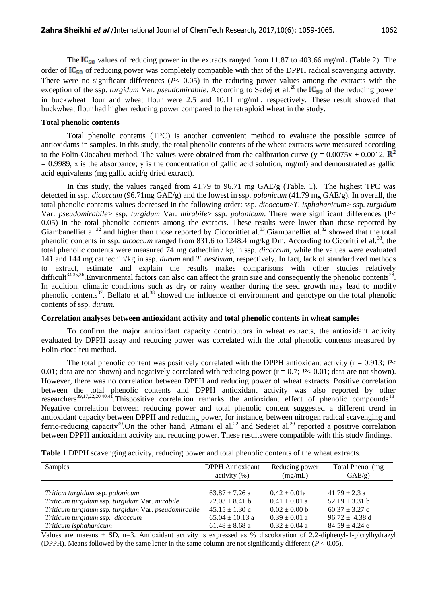The  $IC_{50}$  values of reducing power in the extracts ranged from 11.87 to 403.66 mg/mL (Table 2). The order of  $IC_{50}$  of reducing power was completely compatible with that of the DPPH radical scavenging activity. There were no significant differences  $(P< 0.05)$  in the reducing power values among the extracts with the exception of the ssp. *turgidum* Var. *pseudomirabile*. According to Sedej et al.<sup>20</sup> the IC<sub>50</sub> of the reducing power in buckwheat flour and wheat flour were 2.5 and 10.11 mg/mL, respectively. These result showed that buckwheat flour had higher reducing power compared to the tetraploid wheat in the study.

#### **Total phenolic contents**

Total phenolic contents (TPC) is another convenient method to evaluate the possible source of antioxidants in samples. In this study, the total phenolic contents of the wheat extracts were measured according to the Folin-Ciocalteu method. The values were obtained from the calibration curve (y =  $0.0075x + 0.0012$ ,  $\mathbb{R}^2$ )  $= 0.9989$ , x is the absorbance; y is the concentration of gallic acid solution, mg/ml) and demonstrated as gallic acid equivalents (mg gallic acid/g dried extract).

In this study, the values ranged from 41.79 to 96.71 mg GAE/g (Table. 1). The highest TPC was detected in ssp. *dicoccum* (96.71mg GAE/g) and the lowest in ssp. *polonicum* (41.79 mg GAE/g). In overall, the total phenolic contents values decreased in the following order: ssp. *dicoccum*>*T*. *isphahanicum*> ssp. *turgidum* Var. *pseudomirabile*> ssp. *turgidum* Var. *mirabile*> ssp. *polonicum*. There were significant differences (P< 0.05) in the total phenolic contents among the extracts. These results were lower than those reported by Giambanelliet al.<sup>32</sup> and higher than those reported by Ciccorittiet al.<sup>33</sup>.Giambanelliet al.<sup>32</sup> showed that the total phenolic contents in ssp. *dicoccum* ranged from 831.6 to 1248.4 mg/kg Dm. According to Cicoritti el al.<sup>33</sup>, the total phenolic contents were measured 74 mg cathechin / kg in ssp. *dicoccum,* while the values were evaluated 141 and 144 mg cathechin/kg in ssp. *durum* and *T. aestivum*, respectively. In fact, lack of standardized methods to extract, estimate and explain the results makes comparisons with other studies relatively difficult<sup>34,35,36</sup>. Environmental factors can also can affect the grain size and consequently the phenolic contents<sup>28</sup>. In addition, climatic conditions such as dry or rainy weather during the seed growth may lead to modify phenolic contents<sup>37</sup>. Bellato et al.<sup>38</sup> showed the influence of environment and genotype on the total phenolic contents of ssp. *durum*.

#### **Correlation analyses between antioxidant activity and total phenolic contents in wheat samples**

To confirm the major antioxidant capacity contributors in wheat extracts, the antioxidant activity evaluated by DPPH assay and reducing power was correlated with the total phenolic contents measured by Folin-ciocalteu method.

The total phenolic content was positively correlated with the DPPH antioxidant activity  $(r = 0.913; P \leq$ 0.01; data are not shown) and negatively correlated with reducing power  $(r = 0.7; P < 0.01;$  data are not shown). However, there was no correlation between DPPH and reducing power of wheat extracts. Positive correlation between the total phenolic contents and DPPH antioxidant activity was also reported by other researchers<sup>39,17,22,20,40,41</sup>. Thispositive correlation remarks the antioxidant effect of phenolic compounds<sup>18</sup>. Negative correlation between reducing power and total phenolic content suggested a different trend in antioxidant capacity between DPPH and reducing power, for instance, between nitrogen radical scavenging and ferric-reducing capacity<sup>40</sup>. On the other hand, Atmani el al.<sup>22</sup> and Sedejet al.<sup>20</sup> reported a positive correlation between DPPH antioxidant activity and reducing power. These resultswere compatible with this study findings.

|  |  |  |  | Table 1 DPPH scavenging activity, reducing power and total phenolic contents of the wheat extracts. |
|--|--|--|--|-----------------------------------------------------------------------------------------------------|
|--|--|--|--|-----------------------------------------------------------------------------------------------------|

| Samples                                             | <b>DPPH</b> Antioxidant | Reducing power    | Total Phenol (mg)          |
|-----------------------------------------------------|-------------------------|-------------------|----------------------------|
|                                                     | $\arcsin(y(%)$          | (mg/mL)           | GAE/g                      |
| Triticm turgidum ssp. polonicum                     | $63.87 + 7.26$ a        | $0.42 \pm 0.01a$  | $41.79 \pm 2.3 a$          |
| Triticum turgidum ssp. turgidum Var. mirabile       | $72.03 \pm 8.41$ b      | $0.41 \pm 0.01$ a | $52.19 \pm 3.31$ b         |
| Triticum turgidum ssp. turgidum Var. pseudomirabile | $45.15 \pm 1.30$ c      | $0.02 \pm 0.00$ b | $60.37 \pm 3.27$ c         |
| Triticum turgidum ssp. dicoccum                     | $65.04 \pm 10.13$ a     | $0.39 \pm 0.01$ a | $96.72 \pm 4.38 \text{ d}$ |
| Triticum isphahanicum                               | $61.48 \pm 8.68$ a      | $0.32 \pm 0.04$ a | $84.59 \pm 4.24$ e         |

Values are maeans  $\pm$  SD, n=3. Antioxidant activity is expressed as % discoloration of 2,2-diphenyl-1-picrylhydrazyl (DPPH). Means followed by the same letter in the same column are not significantly different  $(P < 0.05)$ .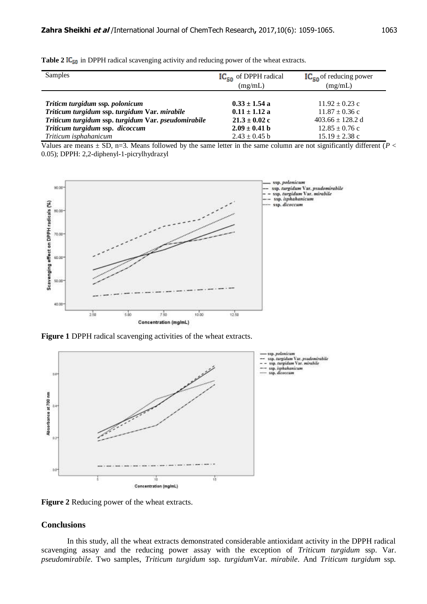| Samples                                             | $IC_{50}$ of DPPH radical<br>(mg/mL) | $IC_{50}$ of reducing power<br>(mg/mL) |
|-----------------------------------------------------|--------------------------------------|----------------------------------------|
| Triticm turgidum ssp. polonicum                     | $0.33 \pm 1.54$ a                    | $11.92 \pm 0.23$ c                     |
| Triticum turgidum ssp. turgidum Var. mirabile       | $0.11 \pm 1.12$ a                    | $11.87 \pm 0.36$ c                     |
| Triticum turgidum ssp. turgidum Var. pseudomirabile | $21.3 \pm 0.02$ c                    | $403.66 \pm 128.2$ d                   |
| Triticum turgidum ssp. dicoccum                     | $2.09 \pm 0.41$ b                    | $12.85 \pm 0.76$ c                     |
| Triticum isphahanicum                               | $2.43 \pm 0.45$ b                    | $15.19 \pm 2.38$ c                     |

**Table 2 IC<sub>50</sub>** in DPPH radical scavenging activity and reducing power of the wheat extracts.

Values are means  $\pm$  SD, n=3. Means followed by the same letter in the same column are not significantly different ( $P$  < 0.05); DPPH: 2,2-diphenyl-1-picrylhydrazyl



**Figure 1** DPPH radical scavenging activities of the wheat extracts.



**Figure 2** Reducing power of the wheat extracts.

#### **Conclusions**

In this study, all the wheat extracts demonstrated considerable antioxidant activity in the DPPH radical scavenging assay and the reducing power assay with the exception of *Triticum turgidum* ssp. Var. *pseudomirabile*. Two samples, *Triticum turgidum* ssp. *turgidum*Var. *mirabile*. And *Triticum turgidum* ssp*.*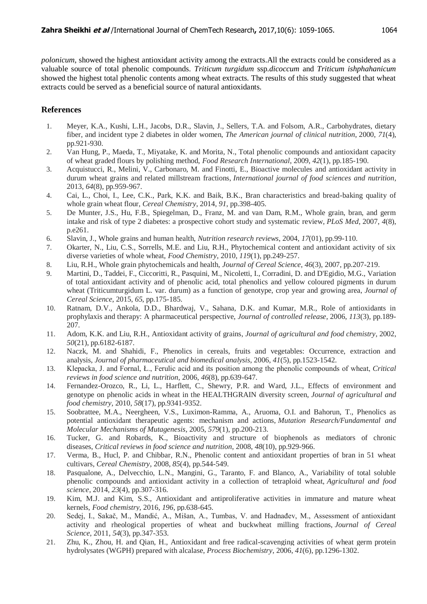*polonicum*, showed the highest antioxidant activity among the extracts.All the extracts could be considered as a valuable source of total phenolic compounds. *Triticum turgidum* ssp.*dicoccum* and *Triticum ishphahanicum* showed the highest total phenolic contents among wheat extracts. The results of this study suggested that wheat extracts could be served as a beneficial source of natural antioxidants.

## **References**

- 1. Meyer, K.A., Kushi, L.H., Jacobs, D.R., Slavin, J., Sellers, T.A. and Folsom, A.R., Carbohydrates, dietary fiber, and incident type 2 diabetes in older women, *The American journal of clinical nutrition*, 2000, *71*(4), pp.921-930.
- 2. Van Hung, P., Maeda, T., Miyatake, K. and Morita, N., Total phenolic compounds and antioxidant capacity of wheat graded flours by polishing method, *Food Research International*, 2009, *42*(1), pp.185-190.
- 3. Acquistucci, R., Melini, V., Carbonaro, M. and Finotti, E., Bioactive molecules and antioxidant activity in durum wheat grains and related millstream fractions, *International journal of food sciences and nutrition*, 2013, *64*(8), pp.959-967.
- 4. Cai, L., Choi, I., Lee, C.K., Park, K.K. and Baik, B.K., Bran characteristics and bread-baking quality of whole grain wheat flour, *Cereal Chemistry*, 2014, *91*, pp.398-405.
- 5. De Munter, J.S., Hu, F.B., Spiegelman, D., Franz, M. and van Dam, R.M., Whole grain, bran, and germ intake and risk of type 2 diabetes: a prospective cohort study and systematic review, *PLoS Med*, 2007, *4*(8), p.e261.
- 6. Slavin, J., Whole grains and human health, *Nutrition research reviews*, 2004, *17*(01), pp.99-110.
- 7. Okarter, N., Liu, C.S., Sorrells, M.E. and Liu, R.H., Phytochemical content and antioxidant activity of six diverse varieties of whole wheat, *Food Chemistry*, 2010, *119*(1), pp.249-257.
- 8. Liu, R.H., Whole grain phytochemicals and health, *Journal of Cereal Science*, *46*(3), 2007, pp.207-219.
- 9. Martini, D., Taddei, F., Ciccoritti, R., Pasquini, M., Nicoletti, I., Corradini, D. and D'Egidio, M.G., Variation of total antioxidant activity and of phenolic acid, total phenolics and yellow coloured pigments in durum wheat (Triticumturgidum L. var. durum) as a function of genotype, crop year and growing area, *Journal of Cereal Science*, 2015, *65*, pp.175-185.
- 10. Ratnam, D.V., Ankola, D.D., Bhardwaj, V., Sahana, D.K. and Kumar, M.R., Role of antioxidants in prophylaxis and therapy: A pharmaceutical perspective, *Journal of controlled release*, 2006, *113*(3), pp.189- 207.
- 11. Adom, K.K. and Liu, R.H., Antioxidant activity of grains, *Journal of agricultural and food chemistry*, 2002, *50*(21), pp.6182-6187.
- 12. Naczk, M. and Shahidi, F., Phenolics in cereals, fruits and vegetables: Occurrence, extraction and analysis, *Journal of pharmaceutical and biomedical analysis*, 2006, *41*(5), pp.1523-1542.
- 13. Klepacka, J. and Fornal, Ł., Ferulic acid and its position among the phenolic compounds of wheat, *Critical reviews in food science and nutrition*, 2006, *46*(8), pp.639-647.
- 14. Fernandez-Orozco, R., Li, L., Harflett, C., Shewry, P.R. and Ward, J.L., Effects of environment and genotype on phenolic acids in wheat in the HEALTHGRAIN diversity screen, *Journal of agricultural and food chemistry*, 2010, *58*(17), pp.9341-9352.
- 15. Soobrattee, M.A., Neergheen, V.S., Luximon-Ramma, A., Aruoma, O.I. and Bahorun, T., Phenolics as potential antioxidant therapeutic agents: mechanism and actions, *Mutation Research/Fundamental and Molecular Mechanisms of Mutagenesis*, 2005, *579*(1), pp.200-213.
- 16. Tucker, G. and Robards, K., Bioactivity and structure of biophenols as mediators of chronic diseases, *Critical reviews in food science and nutrition*, 2008, *48*(10), pp.929-966.
- 17. Verma, B., Hucl, P. and Chibbar, R.N., Phenolic content and antioxidant properties of bran in 51 wheat cultivars, *Cereal Chemistry*, 2008, *85*(4), pp.544-549.
- 18. Pasqualone, A., Delvecchio, L.N., Mangini, G., Taranto, F. and Blanco, A., Variability of total soluble phenolic compounds and antioxidant activity in a collection of tetraploid wheat, *Agricultural and food science*, 2014, *23*(4), pp.307-316.
- 19. Kim, M.J. and Kim, S.S., Antioxidant and antiproliferative activities in immature and mature wheat kernels, *Food chemistry*, 2016, *196*, pp.638-645.
- 20. Sedej, I., Sakač, M., Mandić, A., Mišan, A., Tumbas, V. and Hadnađev, M., Assessment of antioxidant activity and rheological properties of wheat and buckwheat milling fractions, *Journal of Cereal Science*, 2011, *54*(3), pp.347-353.
- 21. Zhu, K., Zhou, H. and Qian, H., Antioxidant and free radical-scavenging activities of wheat germ protein hydrolysates (WGPH) prepared with alcalase, *Process Biochemistry*, 2006, *41*(6), pp.1296-1302.